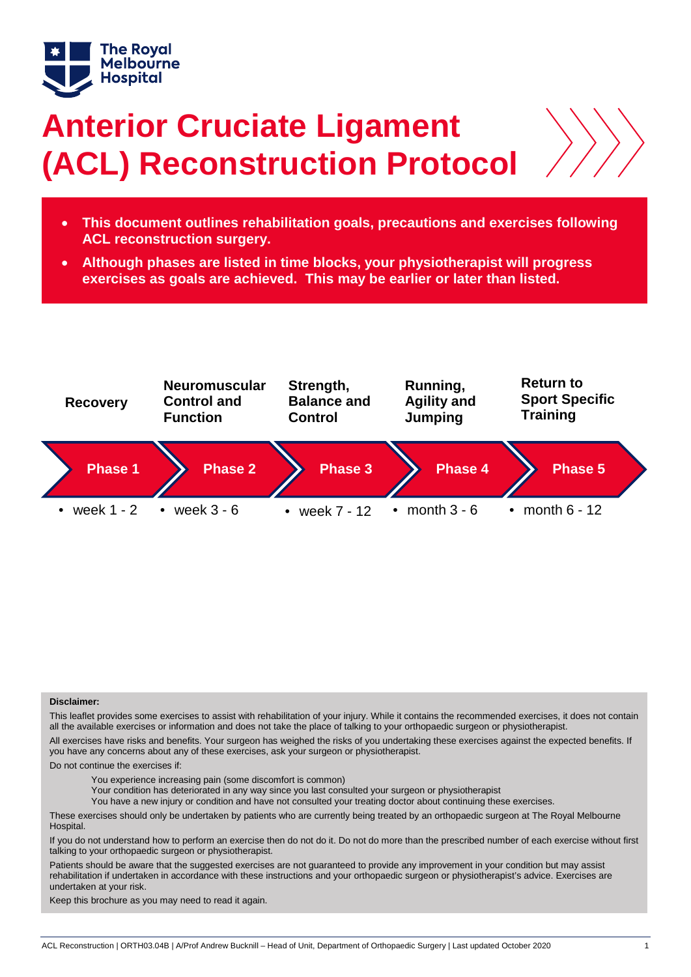

# **Anterior Cruciate Ligament (ACL) Reconstruction Protocol**

- **This document outlines rehabilitation goals, precautions and exercises following ACL reconstruction surgery.**
- **Although phases are listed in time blocks, your physiotherapist will progress exercises as goals are achieved. This may be earlier or later than listed.**



#### **Disclaimer:**

This leaflet provides some exercises to assist with rehabilitation of your injury. While it contains the recommended exercises, it does not contain all the available exercises or information and does not take the place of talking to your orthopaedic surgeon or physiotherapist.

All exercises have risks and benefits. Your surgeon has weighed the risks of you undertaking these exercises against the expected benefits. If you have any concerns about any of these exercises, ask your surgeon or physiotherapist.

Do not continue the exercises if:

You experience increasing pain (some discomfort is common)

Your condition has deteriorated in any way since you last consulted your surgeon or physiotherapist

You have a new injury or condition and have not consulted your treating doctor about continuing these exercises.

These exercises should only be undertaken by patients who are currently being treated by an orthopaedic surgeon at The Royal Melbourne Hospital.

If you do not understand how to perform an exercise then do not do it. Do not do more than the prescribed number of each exercise without first talking to your orthopaedic surgeon or physiotherapist.

Patients should be aware that the suggested exercises are not guaranteed to provide any improvement in your condition but may assist rehabilitation if undertaken in accordance with these instructions and your orthopaedic surgeon or physiotherapist's advice. Exercises are undertaken at your risk.

Keep this brochure as you may need to read it again.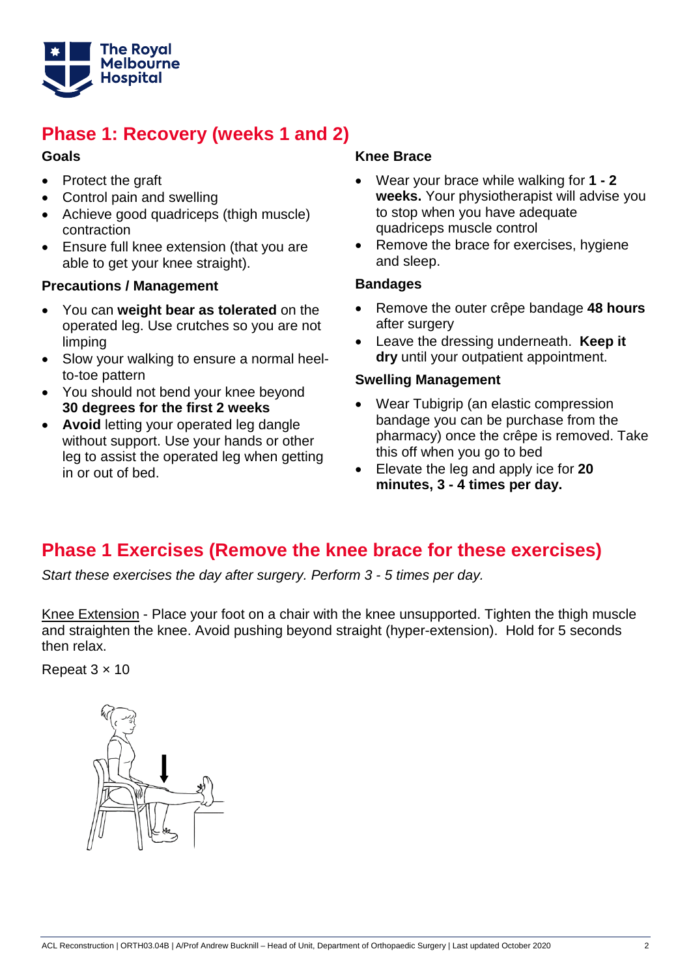

## **Phase 1: Recovery (weeks 1 and 2)**

#### **Goals**

- Protect the graft
- Control pain and swelling
- Achieve good quadriceps (thigh muscle) contraction
- Ensure full knee extension (that you are able to get your knee straight).

#### **Precautions / Management**

- You can **weight bear as tolerated** on the operated leg. Use crutches so you are not limping
- Slow your walking to ensure a normal heelto-toe pattern
- You should not bend your knee beyond **30 degrees for the first 2 weeks**
- **Avoid** letting your operated leg dangle without support. Use your hands or other leg to assist the operated leg when getting in or out of bed.

#### **Knee Brace**

- Wear your brace while walking for **1 - 2 weeks.** Your physiotherapist will advise you to stop when you have adequate quadriceps muscle control
- Remove the brace for exercises, hygiene and sleep.

#### **Bandages**

- Remove the outer crêpe bandage **48 hours** after surgery
- Leave the dressing underneath. **Keep it dry** until your outpatient appointment.

#### **Swelling Management**

- Wear Tubigrip (an elastic compression bandage you can be purchase from the pharmacy) once the crêpe is removed. Take this off when you go to bed
- Elevate the leg and apply ice for **20 minutes, 3 - 4 times per day.**

### **Phase 1 Exercises (Remove the knee brace for these exercises)**

*Start these exercises the day after surgery. Perform 3 - 5 times per day.*

Knee Extension - Place your foot on a chair with the knee unsupported. Tighten the thigh muscle and straighten the knee. Avoid pushing beyond straight (hyper-extension). Hold for 5 seconds then relax.

Repeat 3 × 10

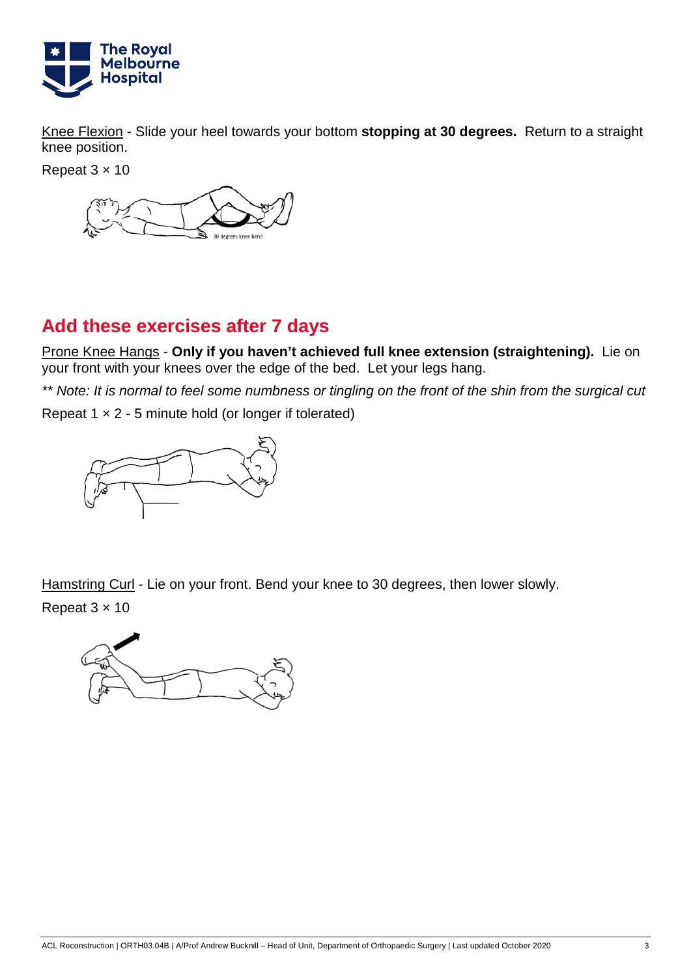

Knee Flexion - Slide your heel towards your bottom **stopping at 30 degrees.** Return to a straight knee position.

Repeat  $3 \times 10$ 



### **Add these exercises after 7 days**

Prone Knee Hangs - **Only if you haven't achieved full knee extension (straightening).** Lie on your front with your knees over the edge of the bed. Let your legs hang.

*\*\* Note: It is normal to feel some numbness or tingling on the front of the shin from the surgical cut*

Repeat  $1 \times 2 - 5$  minute hold (or longer if tolerated)



Hamstring Curl - Lie on your front. Bend your knee to 30 degrees, then lower slowly.

Repeat  $3 \times 10$ 

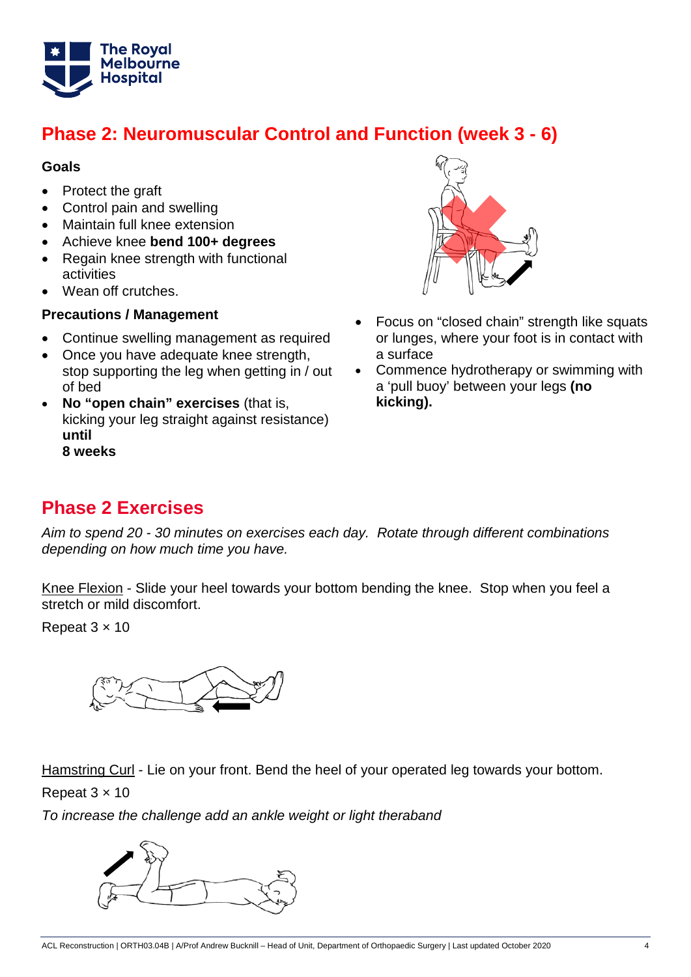

### **Phase 2: Neuromuscular Control and Function (week 3 - 6)**

#### **Goals**

- Protect the graft
- Control pain and swelling
- Maintain full knee extension
- Achieve knee **bend 100+ degrees**
- Regain knee strength with functional activities
- Wean off crutches

### **Precautions / Management**

- Continue swelling management as required
- Once you have adequate knee strength, stop supporting the leg when getting in / out of bed
- **No "open chain" exercises** (that is, kicking your leg straight against resistance) **until 8 weeks**



- Focus on "closed chain" strength like squats or lunges, where your foot is in contact with a surface
- Commence hydrotherapy or swimming with a 'pull buoy' between your legs **(no kicking).**

### **Phase 2 Exercises**

*Aim to spend 20 - 30 minutes on exercises each day. Rotate through different combinations depending on how much time you have.*

Knee Flexion - Slide your heel towards your bottom bending the knee. Stop when you feel a stretch or mild discomfort.

Repeat  $3 \times 10$ 



Hamstring Curl - Lie on your front. Bend the heel of your operated leg towards your bottom.

Repeat  $3 \times 10$ 

*To increase the challenge add an ankle weight or light theraband*

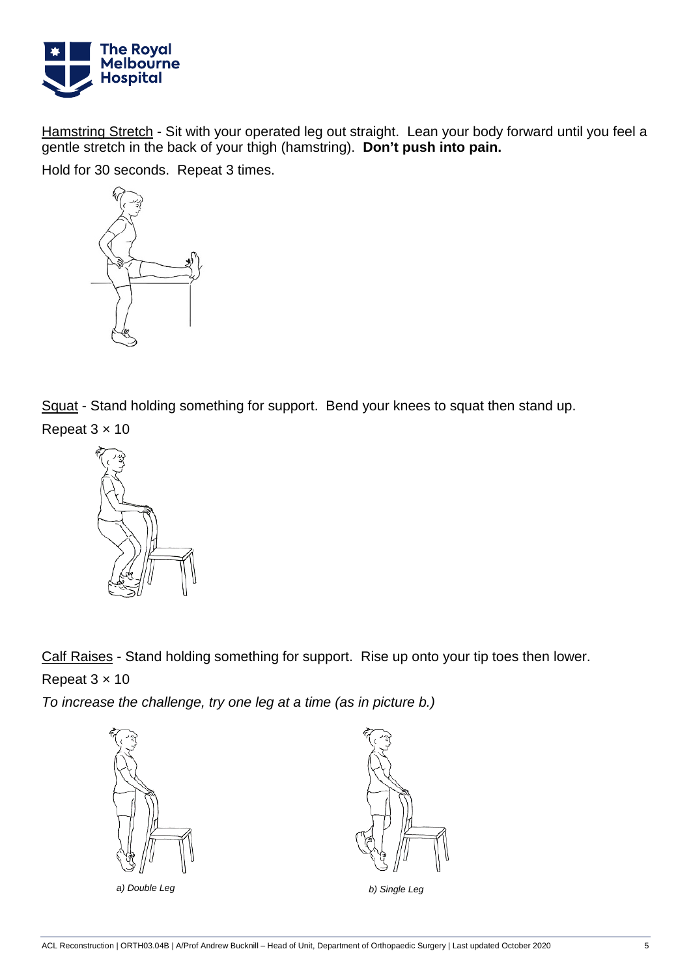

Hamstring Stretch - Sit with your operated leg out straight. Lean your body forward until you feel a gentle stretch in the back of your thigh (hamstring). **Don't push into pain.**

Hold for 30 seconds. Repeat 3 times.



Squat - Stand holding something for support. Bend your knees to squat then stand up. Repeat 3 × 10



Calf Raises - Stand holding something for support. Rise up onto your tip toes then lower. Repeat  $3 \times 10$ 

*To increase the challenge, try one leg at a time (as in picture b.)*



*a) Double Leg b) Single Leg* 

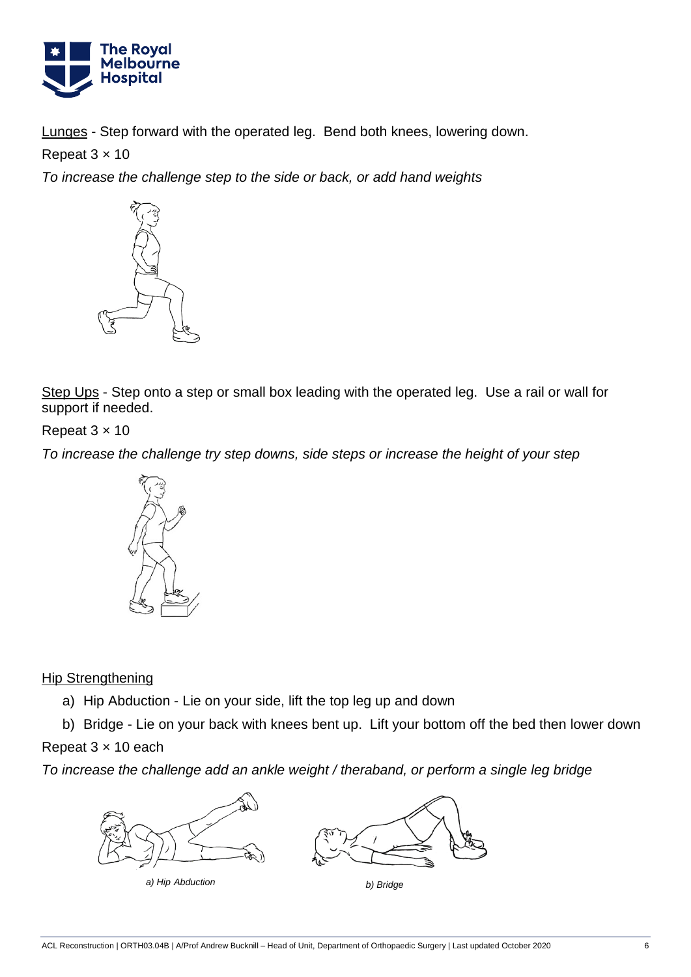

Lunges - Step forward with the operated leg. Bend both knees, lowering down.

Repeat  $3 \times 10$ 

*To increase the challenge step to the side or back, or add hand weights*



Step Ups - Step onto a step or small box leading with the operated leg. Use a rail or wall for support if needed.

Repeat  $3 \times 10$ 

*To increase the challenge try step downs, side steps or increase the height of your step*



Hip Strengthening

a) Hip Abduction - Lie on your side, lift the top leg up and down

b) Bridge - Lie on your back with knees bent up. Lift your bottom off the bed then lower down Repeat  $3 \times 10$  each

*To increase the challenge add an ankle weight / theraband, or perform a single leg bridge*



*a) Hip Abduction b) Bridge*

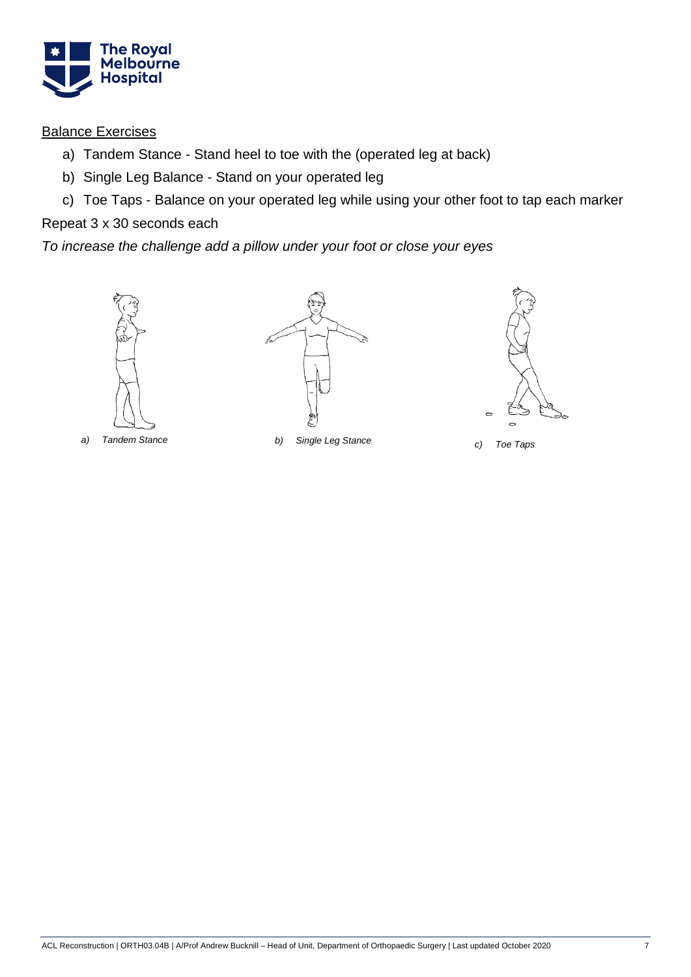

**Balance Exercises** 

- a) Tandem Stance Stand heel to toe with the (operated leg at back)
- b) Single Leg Balance Stand on your operated leg
- c) Toe Taps Balance on your operated leg while using your other foot to tap each marker

Repeat 3 x 30 seconds each

*To increase the challenge add a pillow under your foot or close your eyes*







*a) Tandem Stance b) Single Leg Stance c) Toe Taps*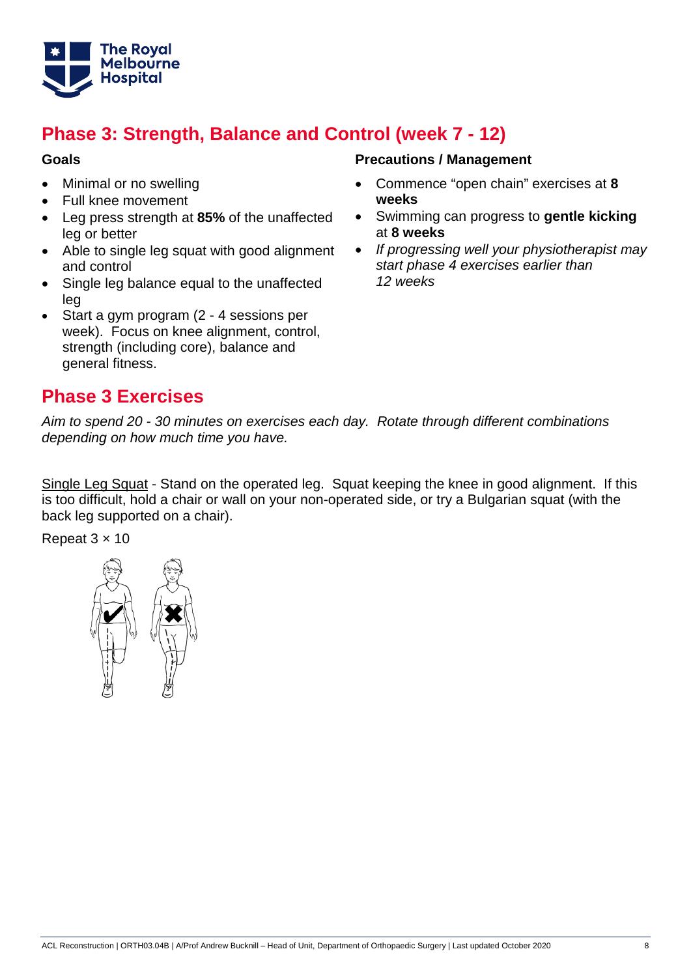

### **Phase 3: Strength, Balance and Control (week 7 - 12)**

#### **Goals**

- Minimal or no swelling
- Full knee movement
- Leg press strength at **85%** of the unaffected leg or better
- Able to single leg squat with good alignment and control
- Single leg balance equal to the unaffected leg
- Start a gym program (2 4 sessions per week). Focus on knee alignment, control, strength (including core), balance and general fitness.

### **Precautions / Management**

- Commence "open chain" exercises at **8 weeks**
- Swimming can progress to **gentle kicking** at **8 weeks**
- *If progressing well your physiotherapist may start phase 4 exercises earlier than 12 weeks*

### **Phase 3 Exercises**

*Aim to spend 20 - 30 minutes on exercises each day. Rotate through different combinations depending on how much time you have.*

Single Leg Squat - Stand on the operated leg. Squat keeping the knee in good alignment. If this is too difficult, hold a chair or wall on your non-operated side, or try a Bulgarian squat (with the back leg supported on a chair).

Repeat  $3 \times 10$ 

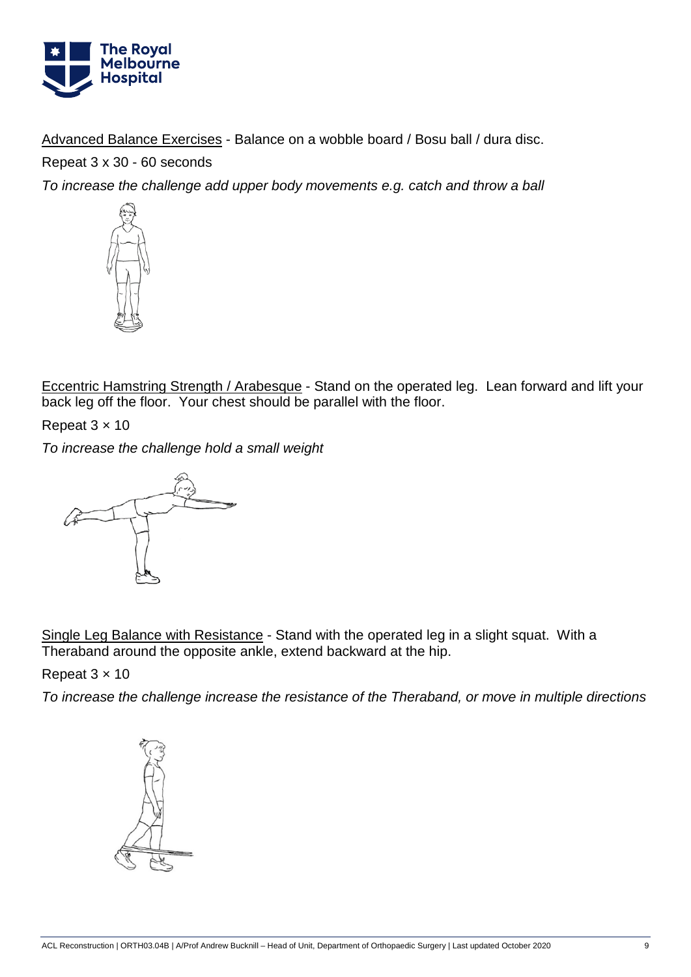

Advanced Balance Exercises - Balance on a wobble board / Bosu ball / dura disc.

Repeat 3 x 30 - 60 seconds

*To increase the challenge add upper body movements e.g. catch and throw a ball*



Eccentric Hamstring Strength / Arabesque - Stand on the operated leg. Lean forward and lift your back leg off the floor. Your chest should be parallel with the floor.

Repeat  $3 \times 10$ 

*To increase the challenge hold a small weight*

Single Leg Balance with Resistance - Stand with the operated leg in a slight squat. With a Theraband around the opposite ankle, extend backward at the hip.

### Repeat  $3 \times 10$

*To increase the challenge increase the resistance of the Theraband, or move in multiple directions*

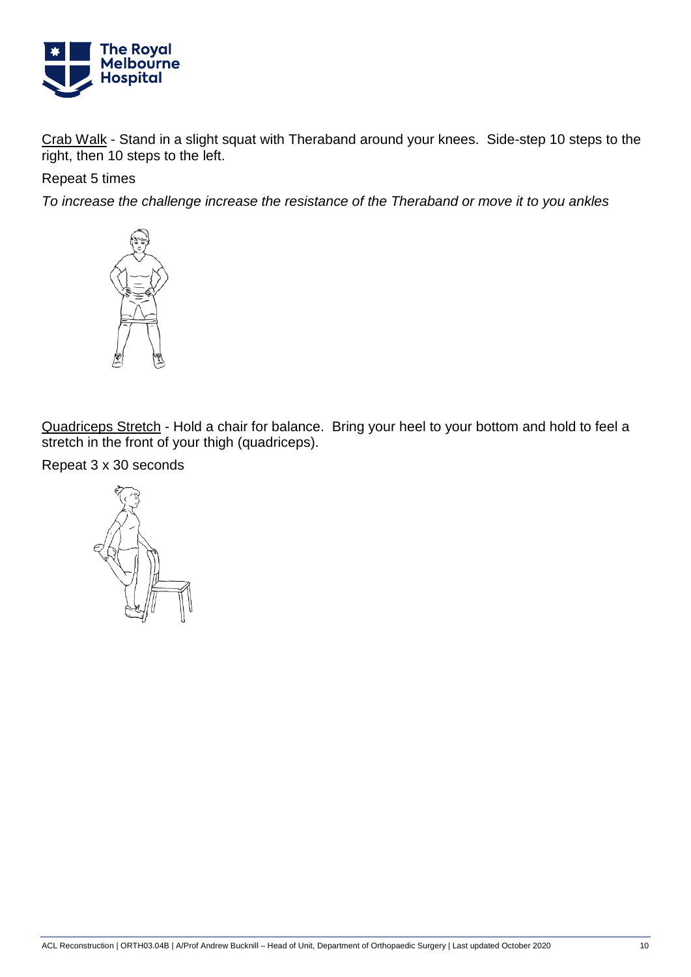

Crab Walk - Stand in a slight squat with Theraband around your knees. Side-step 10 steps to the right, then 10 steps to the left.

#### Repeat 5 times

*To increase the challenge increase the resistance of the Theraband or move it to you ankles*



Quadriceps Stretch - Hold a chair for balance. Bring your heel to your bottom and hold to feel a stretch in the front of your thigh (quadriceps).

Repeat 3 x 30 seconds

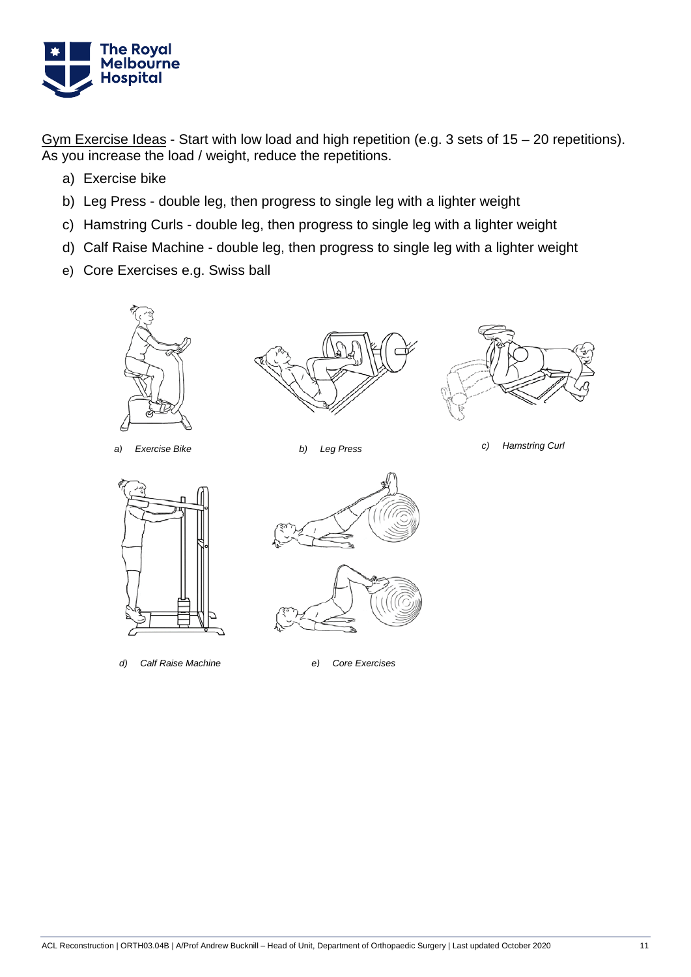

Gym Exercise Ideas - Start with low load and high repetition (e.g. 3 sets of 15 – 20 repetitions). As you increase the load / weight, reduce the repetitions.

- a) Exercise bike
- b) Leg Press double leg, then progress to single leg with a lighter weight
- c) Hamstring Curls double leg, then progress to single leg with a lighter weight
- d) Calf Raise Machine double leg, then progress to single leg with a lighter weight
- e) Core Exercises e.g. Swiss ball











*d) Calf Raise Machine e) Core Exercises*



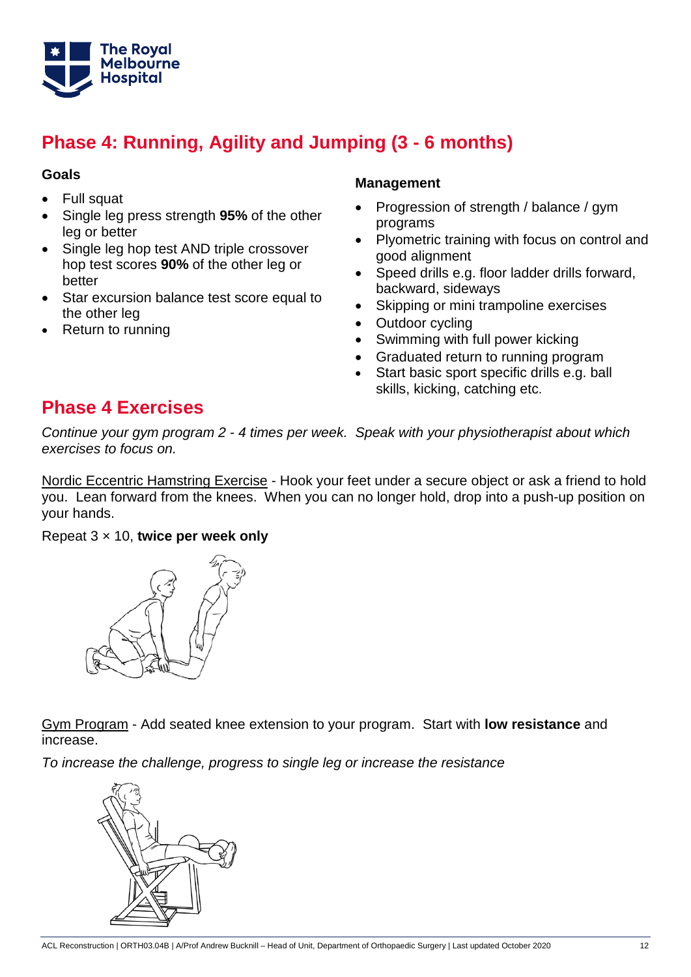

### **Phase 4: Running, Agility and Jumping (3 - 6 months)**

#### **Goals**

- **Full squat**
- Single leg press strength **95%** of the other leg or better
- Single leg hop test AND triple crossover hop test scores **90%** of the other leg or better
- Star excursion balance test score equal to the other leg
- Return to running

#### **Management**

- Progression of strength / balance / gym programs
- Plyometric training with focus on control and good alignment
- Speed drills e.g. floor ladder drills forward, backward, sideways
- Skipping or mini trampoline exercises
- Outdoor cycling
- Swimming with full power kicking
- Graduated return to running program
- Start basic sport specific drills e.g. ball skills, kicking, catching etc.

### **Phase 4 Exercises**

*Continue your gym program 2 - 4 times per week. Speak with your physiotherapist about which exercises to focus on.*

Nordic Eccentric Hamstring Exercise - Hook your feet under a secure object or ask a friend to hold you. Lean forward from the knees. When you can no longer hold, drop into a push-up position on your hands.

#### Repeat 3 × 10, **twice per week only**



Gym Program - Add seated knee extension to your program. Start with **low resistance** and increase.

*To increase the challenge, progress to single leg or increase the resistance*

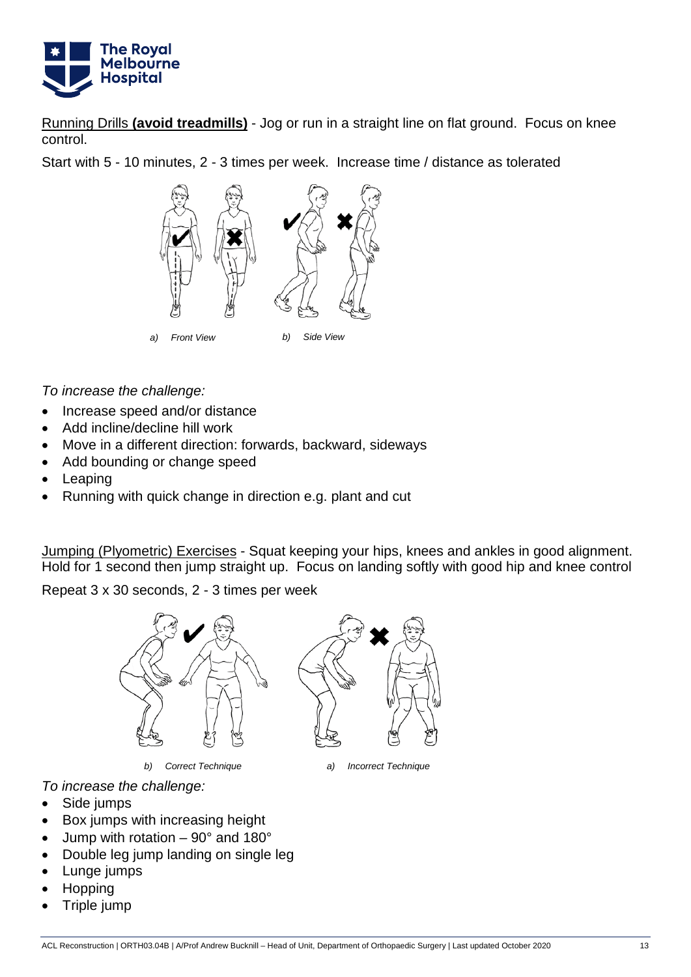

Running Drills **(avoid treadmills)** - Jog or run in a straight line on flat ground. Focus on knee control.

Start with 5 - 10 minutes, 2 - 3 times per week. Increase time / distance as tolerated



*To increase the challenge:*

- Increase speed and/or distance
- Add incline/decline hill work
- Move in a different direction: forwards, backward, sideways
- Add bounding or change speed
- **Leaping**
- Running with quick change in direction e.g. plant and cut

Jumping (Plyometric) Exercises - Squat keeping your hips, knees and ankles in good alignment. Hold for 1 second then jump straight up. Focus on landing softly with good hip and knee control

Repeat 3 x 30 seconds, 2 - 3 times per week



*a) Incorrect Technique*

*To increase the challenge:*

- Side jumps
- Box jumps with increasing height
- Jump with rotation  $-90^\circ$  and 180 $^\circ$
- Double leg jump landing on single leg
- Lunge jumps
- Hopping
- Triple jump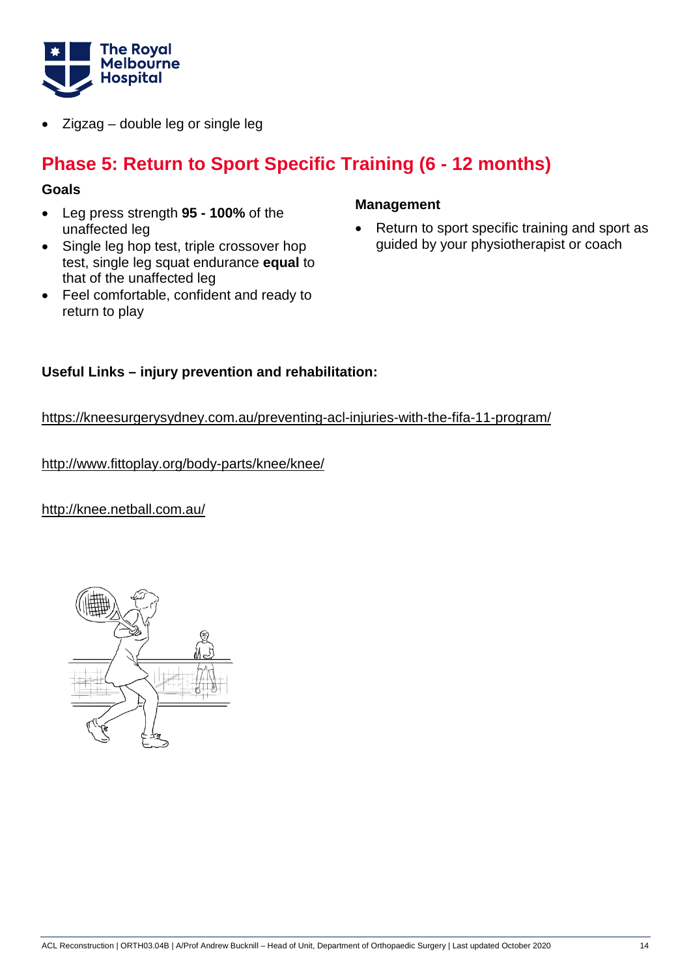

• Zigzag – double leg or single leg

## **Phase 5: Return to Sport Specific Training (6 - 12 months)**

#### **Goals**

- Leg press strength **95 - 100%** of the unaffected leg
- Single leg hop test, triple crossover hop test, single leg squat endurance **equal** to that of the unaffected leg
- Feel comfortable, confident and ready to return to play

#### **Management**

• Return to sport specific training and sport as guided by your physiotherapist or coach

#### **Useful Links – injury prevention and rehabilitation:**

#### <https://kneesurgerysydney.com.au/preventing-acl-injuries-with-the-fifa-11-program/>

<http://www.fittoplay.org/body-parts/knee/knee/>

http://knee.netball.com.au/